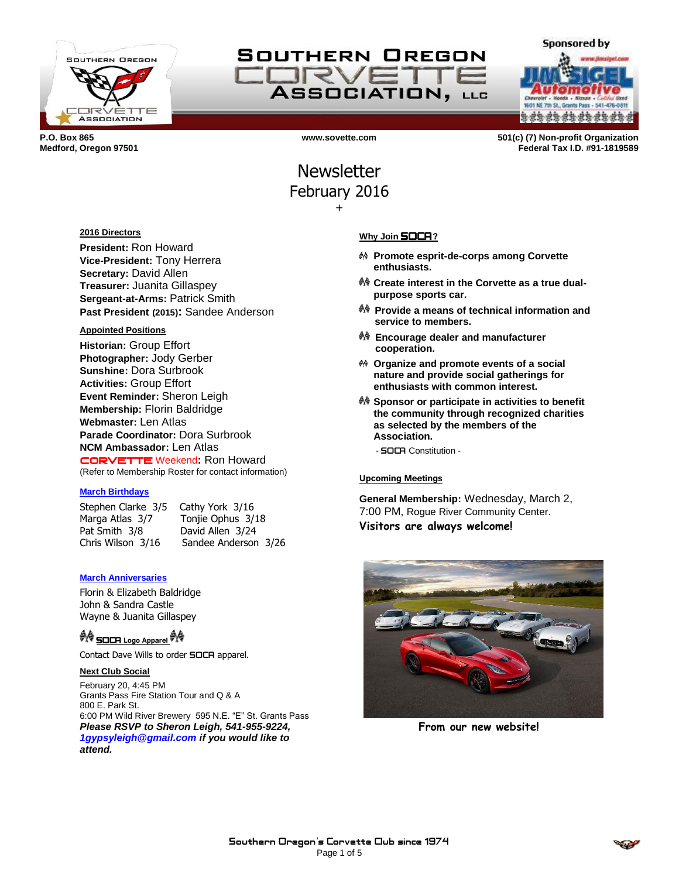

# SOUTHERN OREGON TRV **ASSOCIATION, LLG**

**Sponsored by** NE 7th St., Grants Pass \*\*\*\*\*\*\*\*\*\*\*\*\*

**P.O. Box 865 www.sovette.com 501(c) (7) Non-profit Organization Medford, Oregon 97501 Federal Tax I.D. #91-1819589**

## **Newsletter** February 2016 +

#### **2016 Directors**

**President:** Ron Howard **Vice-President:** Tony Herrera **Secretary:** David Allen **Treasurer:** Juanita Gillaspey **Sergeant-at-Arms:** Patrick Smith **Past President (2015):** Sandee Anderson

#### **Appointed Positions**

**Historian:** Group Effort **Photographer:** Jody Gerber **Sunshine:** Dora Surbrook **Activities:** Group Effort **Event Reminder:** Sheron Leigh **Membership:** Florin Baldridge **Webmaster:** Len Atlas **Parade Coordinator:** Dora Surbrook **NCM Ambassador:** Len Atlas CORVETTE Weekend**:** Ron Howard (Refer to Membership Roster for contact information)

#### **March Birthdays**

Stephen Clarke 3/5 Cathy York 3/16 Marga Atlas 3/7 Tonjie Ophus 3/18 Pat Smith 3/8 David Allen 3/24

Chris Wilson 3/16 Sandee Anderson 3/26

#### **March Anniversaries**

Florin & Elizabeth Baldridge John & Sandra Castle Wayne & Juanita Gillaspey

## <sup>教传</sup> SOCR Logo Apparel <sup>教令</sup>

Contact Dave Wills to order **SOCA** apparel.

#### **Next Club Social**

February 20, 4:45 PM Grants Pass Fire Station Tour and Q & A 800 E. Park St. 6:00 PM Wild River Brewery 595 N.E. "E" St. Grants Pass *Please RSVP to Sheron Leigh, 541-955-9224, 1gypsyleigh@gmail.com if you would like to attend.*

#### **Why Join** SOCA**?**

- **Promote esprit-de-corps among Corvette enthusiasts.**
- **Create interest in the Corvette as a true dualpurpose sports car.**
- **Provide a means of technical information and service to members.**
- **Encourage dealer and manufacturer cooperation.**
- **Organize and promote events of a social nature and provide social gatherings for enthusiasts with common interest.**
- **Sponsor or participate in activities to benefit the community through recognized charities as selected by the members of the Association.**
	- SOCA Constitution -

#### **Upcoming Meetings**

**General Membership:** Wednesday, March 2, 7:00 PM, Rogue River Community Center. **Visitors are always welcome!**



**From our new website!**

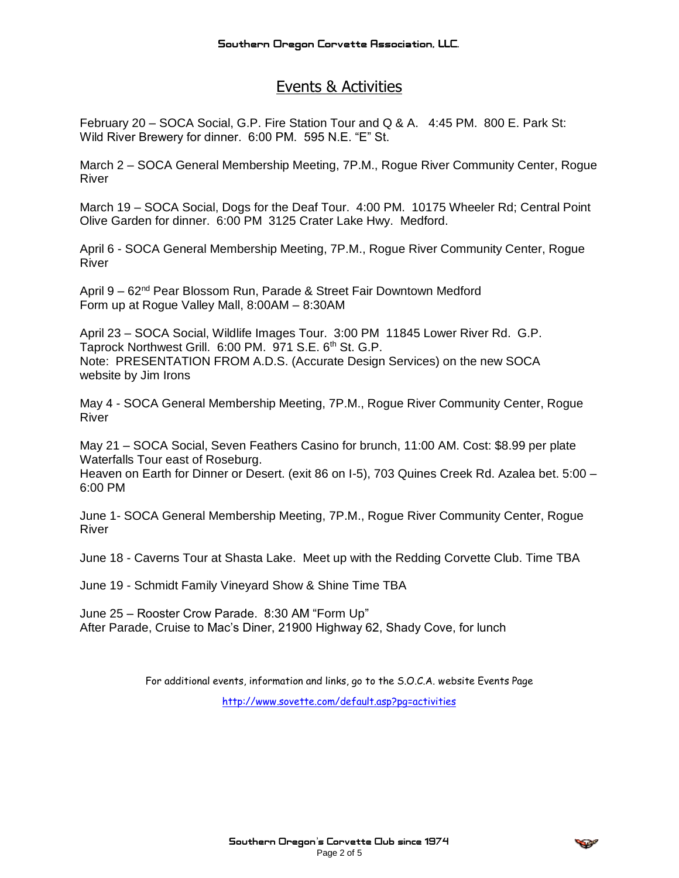## Events & Activities

February 20 – SOCA Social, G.P. Fire Station Tour and Q & A. 4:45 PM. 800 E. Park St: Wild River Brewery for dinner. 6:00 PM. 595 N.E. "E" St.

March 2 – SOCA General Membership Meeting, 7P.M., Rogue River Community Center, Rogue River

March 19 – SOCA Social, Dogs for the Deaf Tour. 4:00 PM. 10175 Wheeler Rd; Central Point Olive Garden for dinner. 6:00 PM 3125 Crater Lake Hwy. Medford.

April 6 - SOCA General Membership Meeting, 7P.M., Rogue River Community Center, Rogue River

April 9 – 62nd Pear Blossom Run, Parade & Street Fair Downtown Medford Form up at Rogue Valley Mall, 8:00AM – 8:30AM

April 23 – SOCA Social, Wildlife Images Tour. 3:00 PM 11845 Lower River Rd. G.P. Taprock Northwest Grill. 6:00 PM. 971 S.E. 6<sup>th</sup> St. G.P. Note: PRESENTATION FROM A.D.S. (Accurate Design Services) on the new SOCA website by Jim Irons

May 4 - SOCA General Membership Meeting, 7P.M., Rogue River Community Center, Rogue River

May 21 – SOCA Social, Seven Feathers Casino for brunch, 11:00 AM. Cost: \$8.99 per plate Waterfalls Tour east of Roseburg.

Heaven on Earth for Dinner or Desert. (exit 86 on I-5), 703 Quines Creek Rd. Azalea bet. 5:00 – 6:00 PM

June 1- SOCA General Membership Meeting, 7P.M., Rogue River Community Center, Rogue River

June 18 - Caverns Tour at Shasta Lake. Meet up with the Redding Corvette Club. Time TBA

June 19 - Schmidt Family Vineyard Show & Shine Time TBA

June 25 – Rooster Crow Parade. 8:30 AM "Form Up" After Parade, Cruise to Mac's Diner, 21900 Highway 62, Shady Cove, for lunch

For additional events, information and links, go to the S.O.C.A. website Events Page

<http://www.sovette.com/default.asp?pg=activities>

**CONSTRUCTION**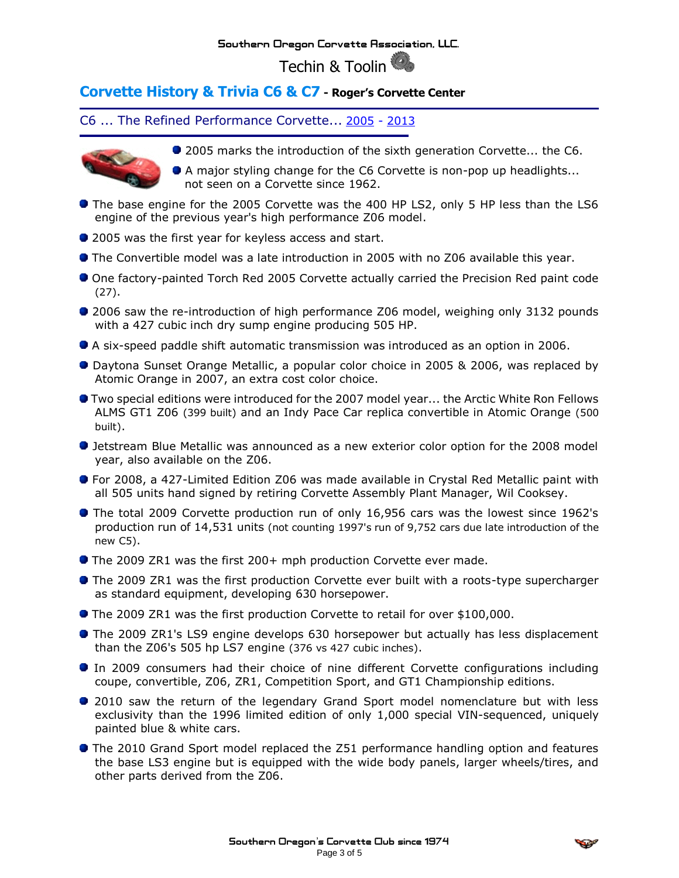### Southern Oregon Corvette Association, LLC.

Techin & Toolin

### **Corvette History & Trivia C6 & C7 - Roger's Corvette Center**

C6 ... The Refined Performance Corvette... [2005](http://www.rogerscorvette.com/specs/05.htm) - [2013](http://www.rogerscorvette.com/specs/13.htm)



● 2005 marks the introduction of the sixth generation Corvette... the C6.

A major styling change for the C6 Corvette is non-pop up headlights... not seen on a Corvette since 1962.

- **•** The base engine for the 2005 Corvette was the 400 HP LS2, only 5 HP less than the LS6 engine of the previous year's high performance Z06 model.
- 2005 was the first year for keyless access and start.
- The Convertible model was a late introduction in 2005 with no Z06 available this year.
- One factory-painted Torch Red 2005 Corvette actually carried the Precision Red paint code (27).
- 2006 saw the re-introduction of high performance Z06 model, weighing only 3132 pounds with a 427 cubic inch dry sump engine producing 505 HP.
- A six-speed paddle shift automatic transmission was introduced as an option in 2006.
- Daytona Sunset Orange Metallic, a popular color choice in 2005 & 2006, was replaced by Atomic Orange in 2007, an extra cost color choice.
- Two special editions were introduced for the 2007 model year... the Arctic White Ron Fellows ALMS GT1 Z06 (399 built) and an Indy Pace Car replica convertible in Atomic Orange (500 built).
- Jetstream Blue Metallic was announced as a new exterior color option for the 2008 model year, also available on the Z06.
- For 2008, a 427-Limited Edition Z06 was made available in Crystal Red Metallic paint with all 505 units hand signed by retiring Corvette Assembly Plant Manager, Wil Cooksey.
- The total 2009 Corvette production run of only 16,956 cars was the lowest since 1962's production run of 14,531 units (not counting 1997's run of 9,752 cars due late introduction of the new C5).
- The 2009 ZR1 was the first 200+ mph production Corvette ever made.
- **The 2009 ZR1 was the first production Corvette ever built with a roots-type supercharger** as standard equipment, developing 630 horsepower.
- **The 2009 ZR1 was the first production Corvette to retail for over \$100,000.**
- **The 2009 ZR1's LS9 engine develops 630 horsepower but actually has less displacement** than the Z06's 505 hp LS7 engine (376 vs 427 cubic inches).
- In 2009 consumers had their choice of nine different Corvette configurations including coupe, convertible, Z06, ZR1, Competition Sport, and GT1 Championship editions.
- 2010 saw the return of the legendary Grand Sport model nomenclature but with less exclusivity than the 1996 limited edition of only 1,000 special VIN-sequenced, uniquely painted blue & white cars.
- The 2010 Grand Sport model replaced the Z51 performance handling option and features the base LS3 engine but is equipped with the wide body panels, larger wheels/tires, and other parts derived from the Z06.